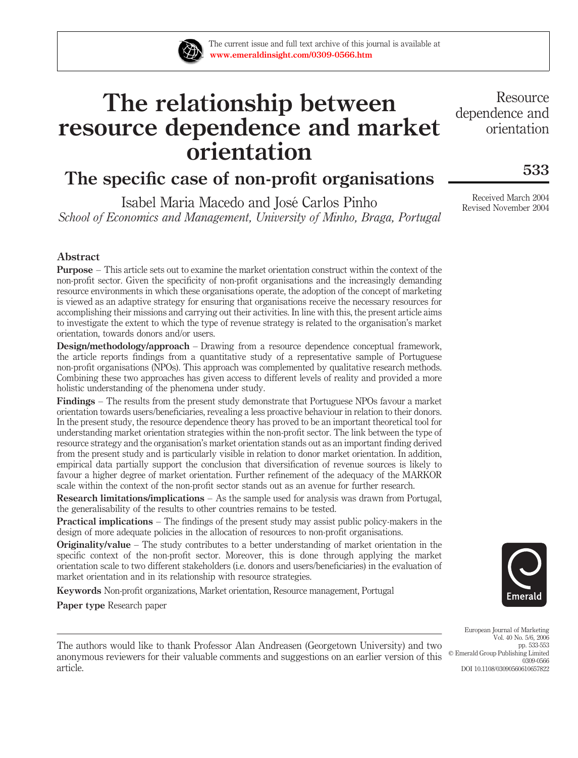

# The relationship between resource dependence and market orientation

## The specific case of non-profit organisations

Isabel Maria Macedo and Jose´ Carlos Pinho School of Economics and Management, University of Minho, Braga, Portugal

Resource dependence and orientation

533

Received March 2004 Revised November 2004

### Abstract

Purpose – This article sets out to examine the market orientation construct within the context of the non-profit sector. Given the specificity of non-profit organisations and the increasingly demanding resource environments in which these organisations operate, the adoption of the concept of marketing is viewed as an adaptive strategy for ensuring that organisations receive the necessary resources for accomplishing their missions and carrying out their activities. In line with this, the present article aims to investigate the extent to which the type of revenue strategy is related to the organisation's market orientation, towards donors and/or users.

Design/methodology/approach – Drawing from a resource dependence conceptual framework, the article reports findings from a quantitative study of a representative sample of Portuguese non-profit organisations (NPOs). This approach was complemented by qualitative research methods. Combining these two approaches has given access to different levels of reality and provided a more holistic understanding of the phenomena under study.

Findings – The results from the present study demonstrate that Portuguese NPOs favour a market orientation towards users/beneficiaries, revealing a less proactive behaviour in relation to their donors. In the present study, the resource dependence theory has proved to be an important theoretical tool for understanding market orientation strategies within the non-profit sector. The link between the type of resource strategy and the organisation's market orientation stands out as an important finding derived from the present study and is particularly visible in relation to donor market orientation. In addition, empirical data partially support the conclusion that diversification of revenue sources is likely to favour a higher degree of market orientation. Further refinement of the adequacy of the MARKOR scale within the context of the non-profit sector stands out as an avenue for further research.

Research limitations/implications – As the sample used for analysis was drawn from Portugal, the generalisability of the results to other countries remains to be tested.

Practical implications – The findings of the present study may assist public policy-makers in the design of more adequate policies in the allocation of resources to non-profit organisations.

Originality/value – The study contributes to a better understanding of market orientation in the specific context of the non-profit sector. Moreover, this is done through applying the market orientation scale to two different stakeholders (i.e. donors and users/beneficiaries) in the evaluation of market orientation and in its relationship with resource strategies.

Keywords Non-profit organizations, Market orientation, Resource management, Portugal

Paper type Research paper

The authors would like to thank Professor Alan Andreasen (Georgetown University) and two anonymous reviewers for their valuable comments and suggestions on an earlier version of this article.



European Journal of Marketing Vol. 40 No. 5/6, 2006 pp. 533-553  $©$  Emerald Group Publishing Limited 0309-0566 DOI 10.1108/03090560610657822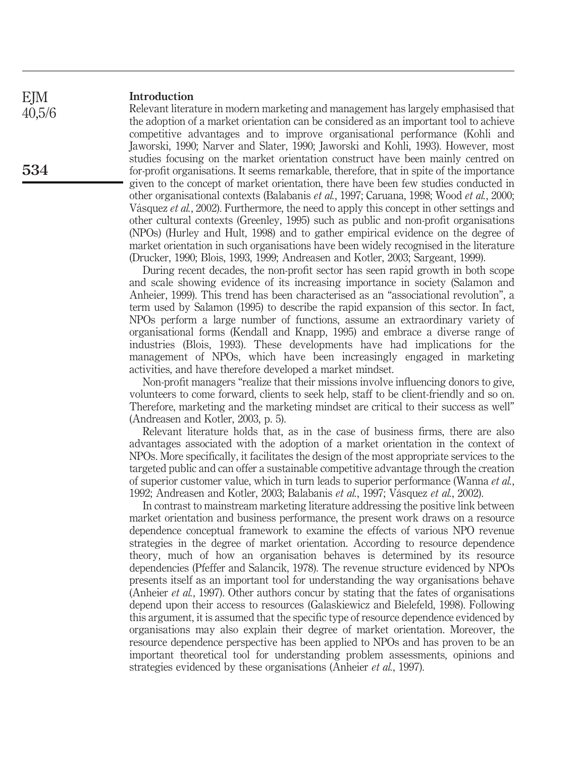#### Introduction EJM

40,5/6

534

Relevant literature in modern marketing and management has largely emphasised that the adoption of a market orientation can be considered as an important tool to achieve competitive advantages and to improve organisational performance (Kohli and Jaworski, 1990; Narver and Slater, 1990; Jaworski and Kohli, 1993). However, most studies focusing on the market orientation construct have been mainly centred on for-profit organisations. It seems remarkable, therefore, that in spite of the importance given to the concept of market orientation, there have been few studies conducted in other organisational contexts (Balabanis et al., 1997; Caruana, 1998; Wood et al., 2000; Vásquez *et al.*, 2002). Furthermore, the need to apply this concept in other settings and other cultural contexts (Greenley, 1995) such as public and non-profit organisations (NPOs) (Hurley and Hult, 1998) and to gather empirical evidence on the degree of market orientation in such organisations have been widely recognised in the literature (Drucker, 1990; Blois, 1993, 1999; Andreasen and Kotler, 2003; Sargeant, 1999).

During recent decades, the non-profit sector has seen rapid growth in both scope and scale showing evidence of its increasing importance in society (Salamon and Anheier, 1999). This trend has been characterised as an "associational revolution", a term used by Salamon (1995) to describe the rapid expansion of this sector. In fact, NPOs perform a large number of functions, assume an extraordinary variety of organisational forms (Kendall and Knapp, 1995) and embrace a diverse range of industries (Blois, 1993). These developments have had implications for the management of NPOs, which have been increasingly engaged in marketing activities, and have therefore developed a market mindset.

Non-profit managers "realize that their missions involve influencing donors to give, volunteers to come forward, clients to seek help, staff to be client-friendly and so on. Therefore, marketing and the marketing mindset are critical to their success as well" (Andreasen and Kotler, 2003, p. 5).

Relevant literature holds that, as in the case of business firms, there are also advantages associated with the adoption of a market orientation in the context of NPOs. More specifically, it facilitates the design of the most appropriate services to the targeted public and can offer a sustainable competitive advantage through the creation of superior customer value, which in turn leads to superior performance (Wanna et al., 1992; Andreasen and Kotler, 2003; Balabanis et al., 1997; Vásquez et al., 2002).

In contrast to mainstream marketing literature addressing the positive link between market orientation and business performance, the present work draws on a resource dependence conceptual framework to examine the effects of various NPO revenue strategies in the degree of market orientation. According to resource dependence theory, much of how an organisation behaves is determined by its resource dependencies (Pfeffer and Salancik, 1978). The revenue structure evidenced by NPOs presents itself as an important tool for understanding the way organisations behave (Anheier et al., 1997). Other authors concur by stating that the fates of organisations depend upon their access to resources (Galaskiewicz and Bielefeld, 1998). Following this argument, it is assumed that the specific type of resource dependence evidenced by organisations may also explain their degree of market orientation. Moreover, the resource dependence perspective has been applied to NPOs and has proven to be an important theoretical tool for understanding problem assessments, opinions and strategies evidenced by these organisations (Anheier *et al.*, 1997).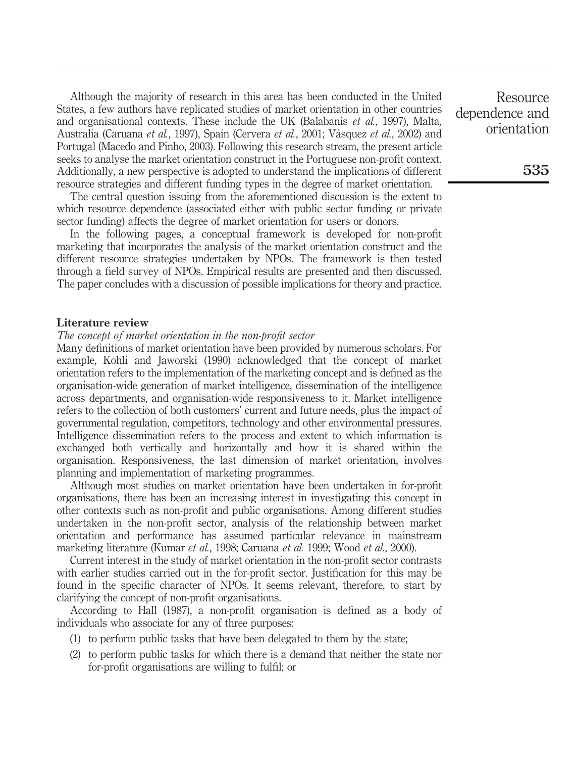Although the majority of research in this area has been conducted in the United States, a few authors have replicated studies of market orientation in other countries and organisational contexts. These include the UK (Balabanis et al., 1997), Malta, Australia (Caruana et al., 1997), Spain (Cervera et al., 2001; Vásquez et al., 2002) and Portugal (Macedo and Pinho, 2003). Following this research stream, the present article seeks to analyse the market orientation construct in the Portuguese non-profit context. Additionally, a new perspective is adopted to understand the implications of different resource strategies and different funding types in the degree of market orientation.

The central question issuing from the aforementioned discussion is the extent to which resource dependence (associated either with public sector funding or private sector funding) affects the degree of market orientation for users or donors.

In the following pages, a conceptual framework is developed for non-profit marketing that incorporates the analysis of the market orientation construct and the different resource strategies undertaken by NPOs. The framework is then tested through a field survey of NPOs. Empirical results are presented and then discussed. The paper concludes with a discussion of possible implications for theory and practice.

#### Literature review

#### The concept of market orientation in the non-profit sector

Many definitions of market orientation have been provided by numerous scholars. For example, Kohli and Jaworski (1990) acknowledged that the concept of market orientation refers to the implementation of the marketing concept and is defined as the organisation-wide generation of market intelligence, dissemination of the intelligence across departments, and organisation-wide responsiveness to it. Market intelligence refers to the collection of both customers' current and future needs, plus the impact of governmental regulation, competitors, technology and other environmental pressures. Intelligence dissemination refers to the process and extent to which information is exchanged both vertically and horizontally and how it is shared within the organisation. Responsiveness, the last dimension of market orientation, involves planning and implementation of marketing programmes.

Although most studies on market orientation have been undertaken in for-profit organisations, there has been an increasing interest in investigating this concept in other contexts such as non-profit and public organisations. Among different studies undertaken in the non-profit sector, analysis of the relationship between market orientation and performance has assumed particular relevance in mainstream marketing literature (Kumar et al., 1998; Caruana et al. 1999; Wood et al., 2000).

Current interest in the study of market orientation in the non-profit sector contrasts with earlier studies carried out in the for-profit sector. Justification for this may be found in the specific character of NPOs. It seems relevant, therefore, to start by clarifying the concept of non-profit organisations.

According to Hall (1987), a non-profit organisation is defined as a body of individuals who associate for any of three purposes:

- (1) to perform public tasks that have been delegated to them by the state;
- (2) to perform public tasks for which there is a demand that neither the state nor for-profit organisations are willing to fulfil; or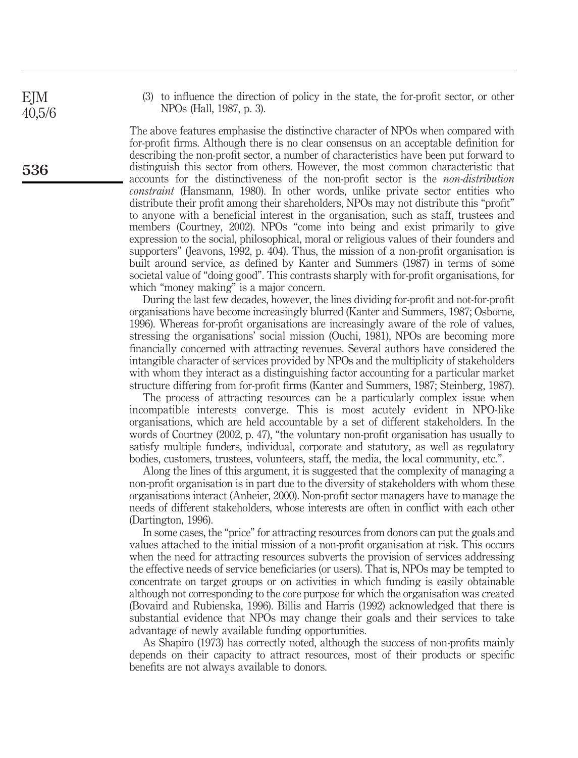EJM 40,5/6

536

(3) to influence the direction of policy in the state, the for-profit sector, or other NPOs (Hall, 1987, p. 3).

The above features emphasise the distinctive character of NPOs when compared with for-profit firms. Although there is no clear consensus on an acceptable definition for describing the non-profit sector, a number of characteristics have been put forward to distinguish this sector from others. However, the most common characteristic that accounts for the distinctiveness of the non-profit sector is the non-distribution constraint (Hansmann, 1980). In other words, unlike private sector entities who distribute their profit among their shareholders, NPOs may not distribute this "profit" to anyone with a beneficial interest in the organisation, such as staff, trustees and members (Courtney, 2002). NPOs "come into being and exist primarily to give expression to the social, philosophical, moral or religious values of their founders and supporters" (Jeavons, 1992, p. 404). Thus, the mission of a non-profit organisation is built around service, as defined by Kanter and Summers (1987) in terms of some societal value of "doing good". This contrasts sharply with for-profit organisations, for which "money making" is a major concern.

During the last few decades, however, the lines dividing for-profit and not-for-profit organisations have become increasingly blurred (Kanter and Summers, 1987; Osborne, 1996). Whereas for-profit organisations are increasingly aware of the role of values, stressing the organisations' social mission (Ouchi, 1981), NPOs are becoming more financially concerned with attracting revenues. Several authors have considered the intangible character of services provided by NPOs and the multiplicity of stakeholders with whom they interact as a distinguishing factor accounting for a particular market structure differing from for-profit firms (Kanter and Summers, 1987; Steinberg, 1987).

The process of attracting resources can be a particularly complex issue when incompatible interests converge. This is most acutely evident in NPO-like organisations, which are held accountable by a set of different stakeholders. In the words of Courtney (2002, p. 47), "the voluntary non-profit organisation has usually to satisfy multiple funders, individual, corporate and statutory, as well as regulatory bodies, customers, trustees, volunteers, staff, the media, the local community, etc.".

Along the lines of this argument, it is suggested that the complexity of managing a non-profit organisation is in part due to the diversity of stakeholders with whom these organisations interact (Anheier, 2000). Non-profit sector managers have to manage the needs of different stakeholders, whose interests are often in conflict with each other (Dartington, 1996).

In some cases, the "price" for attracting resources from donors can put the goals and values attached to the initial mission of a non-profit organisation at risk. This occurs when the need for attracting resources subverts the provision of services addressing the effective needs of service beneficiaries (or users). That is, NPOs may be tempted to concentrate on target groups or on activities in which funding is easily obtainable although not corresponding to the core purpose for which the organisation was created (Bovaird and Rubienska, 1996). Billis and Harris (1992) acknowledged that there is substantial evidence that NPOs may change their goals and their services to take advantage of newly available funding opportunities.

As Shapiro (1973) has correctly noted, although the success of non-profits mainly depends on their capacity to attract resources, most of their products or specific benefits are not always available to donors.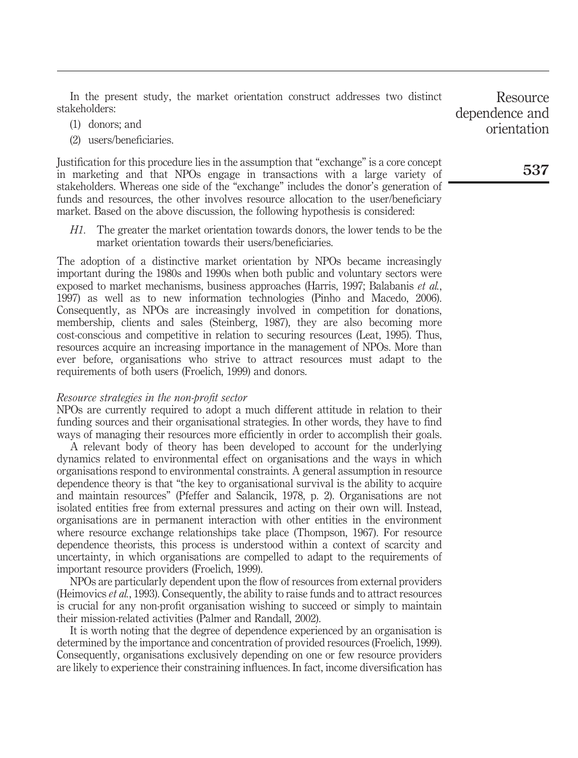In the present study, the market orientation construct addresses two distinct stakeholders:

- (1) donors; and
- (2) users/beneficiaries.

Justification for this procedure lies in the assumption that "exchange" is a core concept in marketing and that NPOs engage in transactions with a large variety of stakeholders. Whereas one side of the "exchange" includes the donor's generation of funds and resources, the other involves resource allocation to the user/beneficiary market. Based on the above discussion, the following hypothesis is considered:

H1. The greater the market orientation towards donors, the lower tends to be the market orientation towards their users/beneficiaries.

The adoption of a distinctive market orientation by NPOs became increasingly important during the 1980s and 1990s when both public and voluntary sectors were exposed to market mechanisms, business approaches (Harris, 1997; Balabanis et al., 1997) as well as to new information technologies (Pinho and Macedo, 2006). Consequently, as NPOs are increasingly involved in competition for donations, membership, clients and sales (Steinberg, 1987), they are also becoming more cost-conscious and competitive in relation to securing resources (Leat, 1995). Thus, resources acquire an increasing importance in the management of NPOs. More than ever before, organisations who strive to attract resources must adapt to the requirements of both users (Froelich, 1999) and donors.

#### Resource strategies in the non-profit sector

NPOs are currently required to adopt a much different attitude in relation to their funding sources and their organisational strategies. In other words, they have to find ways of managing their resources more efficiently in order to accomplish their goals.

A relevant body of theory has been developed to account for the underlying dynamics related to environmental effect on organisations and the ways in which organisations respond to environmental constraints. A general assumption in resource dependence theory is that "the key to organisational survival is the ability to acquire and maintain resources" (Pfeffer and Salancik, 1978, p. 2). Organisations are not isolated entities free from external pressures and acting on their own will. Instead, organisations are in permanent interaction with other entities in the environment where resource exchange relationships take place (Thompson, 1967). For resource dependence theorists, this process is understood within a context of scarcity and uncertainty, in which organisations are compelled to adapt to the requirements of important resource providers (Froelich, 1999).

NPOs are particularly dependent upon the flow of resources from external providers (Heimovics et al., 1993). Consequently, the ability to raise funds and to attract resources is crucial for any non-profit organisation wishing to succeed or simply to maintain their mission-related activities (Palmer and Randall, 2002).

It is worth noting that the degree of dependence experienced by an organisation is determined by the importance and concentration of provided resources (Froelich, 1999). Consequently, organisations exclusively depending on one or few resource providers are likely to experience their constraining influences. In fact, income diversification has

Resource dependence and orientation

537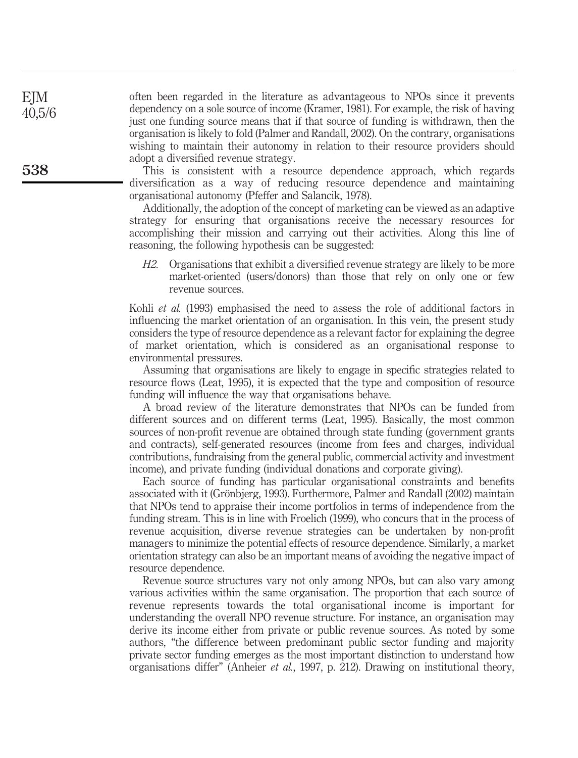often been regarded in the literature as advantageous to NPOs since it prevents dependency on a sole source of income (Kramer, 1981). For example, the risk of having just one funding source means that if that source of funding is withdrawn, then the organisation is likely to fold (Palmer and Randall, 2002). On the contrary, organisations wishing to maintain their autonomy in relation to their resource providers should adopt a diversified revenue strategy.

This is consistent with a resource dependence approach, which regards diversification as a way of reducing resource dependence and maintaining organisational autonomy (Pfeffer and Salancik, 1978).

Additionally, the adoption of the concept of marketing can be viewed as an adaptive strategy for ensuring that organisations receive the necessary resources for accomplishing their mission and carrying out their activities. Along this line of reasoning, the following hypothesis can be suggested:

H2. Organisations that exhibit a diversified revenue strategy are likely to be more market-oriented (users/donors) than those that rely on only one or few revenue sources.

Kohli et al. (1993) emphasised the need to assess the role of additional factors in influencing the market orientation of an organisation. In this vein, the present study considers the type of resource dependence as a relevant factor for explaining the degree of market orientation, which is considered as an organisational response to environmental pressures.

Assuming that organisations are likely to engage in specific strategies related to resource flows (Leat, 1995), it is expected that the type and composition of resource funding will influence the way that organisations behave.

A broad review of the literature demonstrates that NPOs can be funded from different sources and on different terms (Leat, 1995). Basically, the most common sources of non-profit revenue are obtained through state funding (government grants and contracts), self-generated resources (income from fees and charges, individual contributions, fundraising from the general public, commercial activity and investment income), and private funding (individual donations and corporate giving).

Each source of funding has particular organisational constraints and benefits associated with it (Grönbjerg, 1993). Furthermore, Palmer and Randall (2002) maintain that NPOs tend to appraise their income portfolios in terms of independence from the funding stream. This is in line with Froelich (1999), who concurs that in the process of revenue acquisition, diverse revenue strategies can be undertaken by non-profit managers to minimize the potential effects of resource dependence. Similarly, a market orientation strategy can also be an important means of avoiding the negative impact of resource dependence.

Revenue source structures vary not only among NPOs, but can also vary among various activities within the same organisation. The proportion that each source of revenue represents towards the total organisational income is important for understanding the overall NPO revenue structure. For instance, an organisation may derive its income either from private or public revenue sources. As noted by some authors, "the difference between predominant public sector funding and majority private sector funding emerges as the most important distinction to understand how organisations differ" (Anheier *et al.*, 1997, p. 212). Drawing on institutional theory,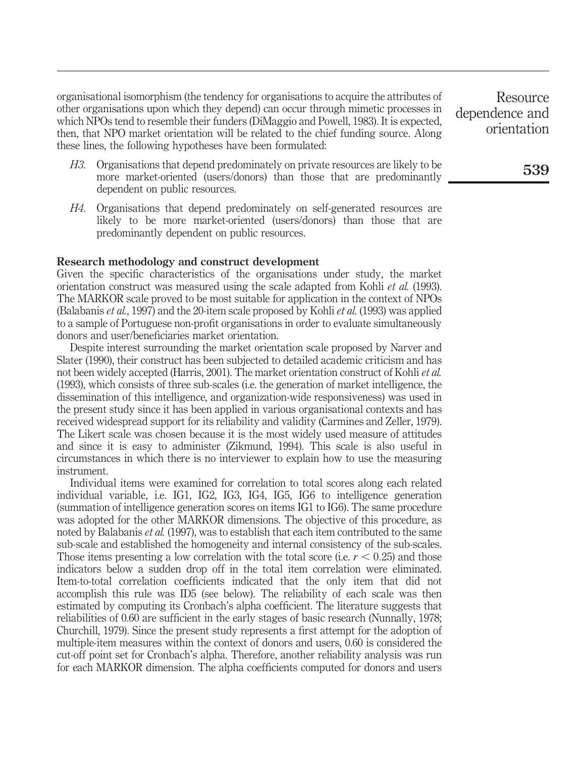organisational isomorphism (the tendency for organisations to acquire the attributes of other organisations upon which they depend) can occur through mimetic processes in which NPOs tend to resemble their funders (DiMaggio and Powell, 1983). It is expected, then, that NPO market orientation will be related to the chief funding source. Along these lines, the following hypotheses have been formulated:

- H3. Organisations that depend predominately on private resources are likely to be more market-oriented (users/donors) than those that are predominantly dependent on public resources.
- H4. Organisations that depend predominately on self-generated resources are likely to be more market-oriented (users/donors) than those that are predominantly dependent on public resources.

### Research methodology and construct development

Given the specific characteristics of the organisations under study, the market orientation construct was measured using the scale adapted from Kohli et al. (1993). The MARKOR scale proved to be most suitable for application in the context of NPOs (Balabanis et al., 1997) and the 20-item scale proposed by Kohli et al. (1993) was applied to a sample of Portuguese non-profit organisations in order to evaluate simultaneously donors and user/beneficiaries market orientation.

Despite interest surrounding the market orientation scale proposed by Narver and Slater (1990), their construct has been subjected to detailed academic criticism and has not been widely accepted (Harris, 2001). The market orientation construct of Kohli et al. (1993), which consists of three sub-scales (i.e. the generation of market intelligence, the dissemination of this intelligence, and organization-wide responsiveness) was used in the present study since it has been applied in various organisational contexts and has received widespread support for its reliability and validity (Carmines and Zeller, 1979). The Likert scale was chosen because it is the most widely used measure of attitudes and since it is easy to administer (Zikmund, 1994). This scale is also useful in circumstances in which there is no interviewer to explain how to use the measuring instrument.

Individual items were examined for correlation to total scores along each related individual variable, i.e. IG1, IG2, IG3, IG4, IG5, IG6 to intelligence generation (summation of intelligence generation scores on items IG1 to IG6). The same procedure was adopted for the other MARKOR dimensions. The objective of this procedure, as noted by Balabanis et al. (1997), was to establish that each item contributed to the same sub-scale and established the homogeneity and internal consistency of the sub-scales. Those items presenting a low correlation with the total score (i.e.  $r < 0.25$ ) and those indicators below a sudden drop off in the total item correlation were eliminated. Item-to-total correlation coefficients indicated that the only item that did not accomplish this rule was ID5 (see below). The reliability of each scale was then estimated by computing its Cronbach's alpha coefficient. The literature suggests that reliabilities of 0.60 are sufficient in the early stages of basic research (Nunnally, 1978; Churchill, 1979). Since the present study represents a first attempt for the adoption of multiple-item measures within the context of donors and users, 0.60 is considered the cut-off point set for Cronbach's alpha. Therefore, another reliability analysis was run for each MARKOR dimension. The alpha coefficients computed for donors and users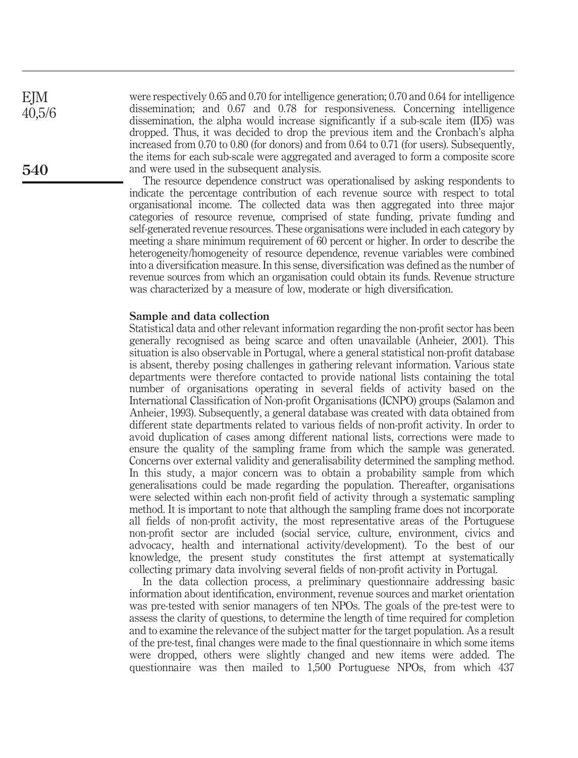EJM 40,5/6

540

were respectively 0.65 and 0.70 for intelligence generation; 0.70 and 0.64 for intelligence dissemination; and 0.67 and 0.78 for responsiveness. Concerning intelligence dissemination, the alpha would increase significantly if a sub-scale item (ID5) was dropped. Thus, it was decided to drop the previous item and the Cronbach's alpha increased from 0.70 to 0.80 (for donors) and from 0.64 to 0.71 (for users). Subsequently, the items for each sub-scale were aggregated and averaged to form a composite score and were used in the subsequent analysis.

The resource dependence construct was operationalised by asking respondents to indicate the percentage contribution of each revenue source with respect to total organisational income. The collected data was then aggregated into three major categories of resource revenue, comprised of state funding, private funding and self-generated revenue resources. These organisations were included in each category by meeting a share minimum requirement of 60 percent or higher. In order to describe the heterogeneity/homogeneity of resource dependence, revenue variables were combined into a diversification measure. In this sense, diversification was defined as the number of revenue sources from which an organisation could obtain its funds. Revenue structure was characterized by a measure of low, moderate or high diversification.

### Sample and data collection

Statistical data and other relevant information regarding the non-profit sector has been generally recognised as being scarce and often unavailable (Anheier, 2001). This situation is also observable in Portugal, where a general statistical non-profit database is absent, thereby posing challenges in gathering relevant information. Various state departments were therefore contacted to provide national lists containing the total number of organisations operating in several fields of activity based on the International Classification of Non-profit Organisations (ICNPO) groups (Salamon and Anheier, 1993). Subsequently, a general database was created with data obtained from different state departments related to various fields of non-profit activity. In order to avoid duplication of cases among different national lists, corrections were made to ensure the quality of the sampling frame from which the sample was generated. Concerns over external validity and generalisability determined the sampling method. In this study, a major concern was to obtain a probability sample from which generalisations could be made regarding the population. Thereafter, organisations were selected within each non-profit field of activity through a systematic sampling method. It is important to note that although the sampling frame does not incorporate all fields of non-profit activity, the most representative areas of the Portuguese non-profit sector are included (social service, culture, environment, civics and advocacy, health and international activity/development). To the best of our knowledge, the present study constitutes the first attempt at systematically collecting primary data involving several fields of non-profit activity in Portugal.

In the data collection process, a preliminary questionnaire addressing basic information about identification, environment, revenue sources and market orientation was pre-tested with senior managers of ten NPOs. The goals of the pre-test were to assess the clarity of questions, to determine the length of time required for completion and to examine the relevance of the subject matter for the target population. As a result of the pre-test, final changes were made to the final questionnaire in which some items were dropped, others were slightly changed and new items were added. The questionnaire was then mailed to 1,500 Portuguese NPOs, from which 437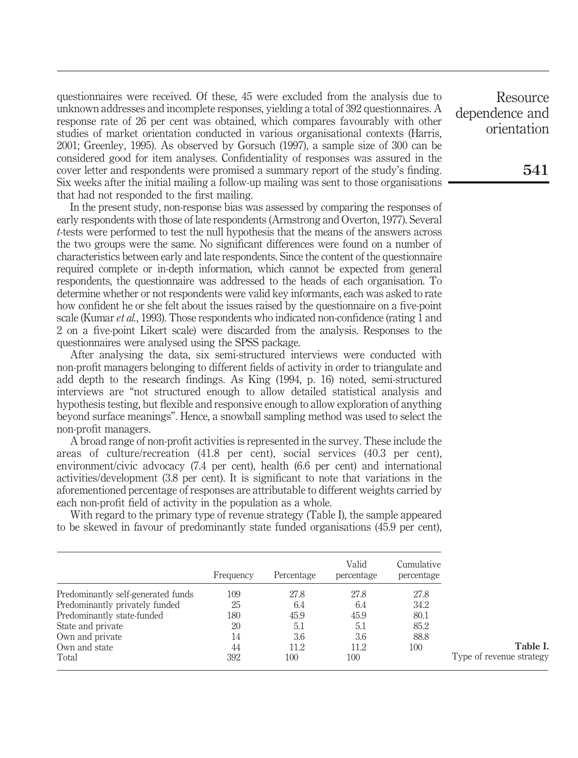questionnaires were received. Of these, 45 were excluded from the analysis due to unknown addresses and incomplete responses, yielding a total of 392 questionnaires. A response rate of 26 per cent was obtained, which compares favourably with other studies of market orientation conducted in various organisational contexts (Harris, 2001; Greenley, 1995). As observed by Gorsuch (1997), a sample size of 300 can be considered good for item analyses. Confidentiality of responses was assured in the cover letter and respondents were promised a summary report of the study's finding. Six weeks after the initial mailing a follow-up mailing was sent to those organisations that had not responded to the first mailing.

In the present study, non-response bias was assessed by comparing the responses of early respondents with those of late respondents (Armstrong and Overton, 1977). Several t-tests were performed to test the null hypothesis that the means of the answers across the two groups were the same. No significant differences were found on a number of characteristics between early and late respondents. Since the content of the questionnaire required complete or in-depth information, which cannot be expected from general respondents, the questionnaire was addressed to the heads of each organisation. To determine whether or not respondents were valid key informants, each was asked to rate how confident he or she felt about the issues raised by the questionnaire on a five-point scale (Kumar et al., 1993). Those respondents who indicated non-confidence (rating 1 and 2 on a five-point Likert scale) were discarded from the analysis. Responses to the questionnaires were analysed using the SPSS package.

After analysing the data, six semi-structured interviews were conducted with non-profit managers belonging to different fields of activity in order to triangulate and add depth to the research findings. As King (1994, p. 16) noted, semi-structured interviews are "not structured enough to allow detailed statistical analysis and hypothesis testing, but flexible and responsive enough to allow exploration of anything beyond surface meanings". Hence, a snowball sampling method was used to select the non-profit managers.

A broad range of non-profit activities is represented in the survey. These include the areas of culture/recreation (41.8 per cent), social services (40.3 per cent), environment/civic advocacy (7.4 per cent), health (6.6 per cent) and international activities/development (3.8 per cent). It is significant to note that variations in the aforementioned percentage of responses are attributable to different weights carried by each non-profit field of activity in the population as a whole.

With regard to the primary type of revenue strategy (Table I), the sample appeared to be skewed in favour of predominantly state funded organisations (45.9 per cent),

|                                    | Frequency | Percentage | Valid<br>percentage | Cumulative<br>percentage |                          |
|------------------------------------|-----------|------------|---------------------|--------------------------|--------------------------|
| Predominantly self-generated funds | 109       | 27.8       | 27.8                | 27.8                     |                          |
| Predominantly privately funded     | 25        | 6.4        | 6.4                 | 34.2                     |                          |
| Predominantly state-funded         | 180       | 45.9       | 45.9                | 80.1                     |                          |
| State and private                  | 20        | 5.1        | 5.1                 | 85.2                     |                          |
| Own and private                    | 14        | 3.6        | 3.6                 | 88.8                     |                          |
| Own and state                      | 44        | 11.2       | 11.2                | 100                      | Table I.                 |
| Total                              | 392       | 100        | 100                 |                          | Type of revenue strategy |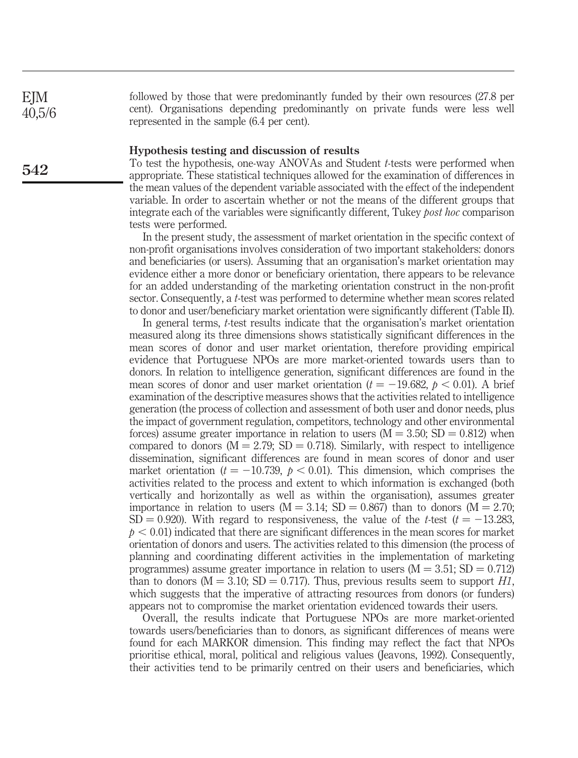followed by those that were predominantly funded by their own resources (27.8 per cent). Organisations depending predominantly on private funds were less well represented in the sample (6.4 per cent).

#### Hypothesis testing and discussion of results

To test the hypothesis, one-way ANOVAs and Student t-tests were performed when appropriate. These statistical techniques allowed for the examination of differences in the mean values of the dependent variable associated with the effect of the independent variable. In order to ascertain whether or not the means of the different groups that integrate each of the variables were significantly different, Tukey post hoc comparison tests were performed.

In the present study, the assessment of market orientation in the specific context of non-profit organisations involves consideration of two important stakeholders: donors and beneficiaries (or users). Assuming that an organisation's market orientation may evidence either a more donor or beneficiary orientation, there appears to be relevance for an added understanding of the marketing orientation construct in the non-profit sector. Consequently, a t-test was performed to determine whether mean scores related to donor and user/beneficiary market orientation were significantly different (Table II).

In general terms, t-test results indicate that the organisation's market orientation measured along its three dimensions shows statistically significant differences in the mean scores of donor and user market orientation, therefore providing empirical evidence that Portuguese NPOs are more market-oriented towards users than to donors. In relation to intelligence generation, significant differences are found in the mean scores of donor and user market orientation ( $t = -19.682$ ,  $p < 0.01$ ). A brief examination of the descriptive measures shows that the activities related to intelligence generation (the process of collection and assessment of both user and donor needs, plus the impact of government regulation, competitors, technology and other environmental forces) assume greater importance in relation to users  $(M = 3.50; SD = 0.812)$  when compared to donors ( $M = 2.79$ ; SD = 0.718). Similarly, with respect to intelligence dissemination, significant differences are found in mean scores of donor and user market orientation ( $t = -10.739$ ,  $p < 0.01$ ). This dimension, which comprises the activities related to the process and extent to which information is exchanged (both vertically and horizontally as well as within the organisation), assumes greater importance in relation to users  $(M = 3.14; SD = 0.867)$  than to donors  $(M = 2.70;$  $SD = 0.920$ ). With regard to responsiveness, the value of the t-test (t = -13.283,  $p < 0.01$ ) indicated that there are significant differences in the mean scores for market orientation of donors and users. The activities related to this dimension (the process of planning and coordinating different activities in the implementation of marketing programmes) assume greater importance in relation to users  $(M = 3.51; SD = 0.712)$ than to donors ( $M = 3.10$ ; SD = 0.717). Thus, previous results seem to support H1, which suggests that the imperative of attracting resources from donors (or funders) appears not to compromise the market orientation evidenced towards their users.

Overall, the results indicate that Portuguese NPOs are more market-oriented towards users/beneficiaries than to donors, as significant differences of means were found for each MARKOR dimension. This finding may reflect the fact that NPOs prioritise ethical, moral, political and religious values (Jeavons, 1992). Consequently, their activities tend to be primarily centred on their users and beneficiaries, which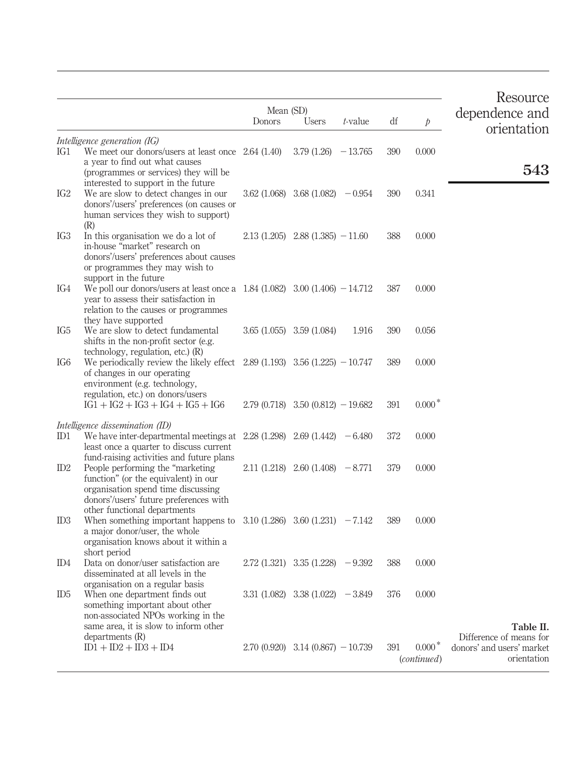|                 |                                                                                                                                                                                                         | Mean (SD) |                                      |          |     |                                  | Resource<br>dependence and               |
|-----------------|---------------------------------------------------------------------------------------------------------------------------------------------------------------------------------------------------------|-----------|--------------------------------------|----------|-----|----------------------------------|------------------------------------------|
|                 |                                                                                                                                                                                                         | Donors    | <b>Users</b>                         | t-value  | df  | Þ                                | orientation                              |
|                 | Intelligence generation (IG)                                                                                                                                                                            |           |                                      |          |     |                                  |                                          |
| IG1             | We meet our donors/users at least once $2.64$ (1.40)<br>a year to find out what causes<br>(programmes or services) they will be                                                                         |           | $3.79(1.26) - 13.765$                |          | 390 | 0.000                            | 543                                      |
| IG2             | interested to support in the future<br>We are slow to detect changes in our<br>donors'/users' preferences (on causes or<br>human services they wish to support)<br>(R)                                  |           | $3.62(1.068)$ $3.68(1.082)$ $-0.954$ |          | 390 | 0.341                            |                                          |
| IG3             | In this organisation we do a lot of<br>in-house "market" research on<br>donors'/users' preferences about causes<br>or programmes they may wish to<br>support in the future                              |           | $2.13(1.205)$ $2.88(1.385) - 11.60$  |          | 388 | 0.000                            |                                          |
| IG4             | We poll our donors/users at least once a $1.84$ (1.082) $3.00$ (1.406) $-14.712$<br>year to assess their satisfaction in<br>relation to the causes or programmes<br>they have supported                 |           |                                      |          | 387 | 0.000                            |                                          |
| IG5             | We are slow to detect fundamental<br>shifts in the non-profit sector (e.g.<br>technology, regulation, etc.) $(R)$                                                                                       |           | $3.65(1.055)$ $3.59(1.084)$          | 1.916    | 390 | 0.056                            |                                          |
| IG <sub>6</sub> | We periodically review the likely effect 2.89 (1.193) 3.56 (1.225) $-10.747$<br>of changes in our operating<br>environment (e.g. technology,<br>regulation, etc.) on donors/users                       |           |                                      |          | 389 | 0.000                            |                                          |
|                 | $IG1 + IG2 + IG3 + IG4 + IG5 + IG6$                                                                                                                                                                     |           | $2.79(0.718)$ $3.50(0.812) - 19.682$ |          | 391 | $0.000*$                         |                                          |
| ID1             | Intelligence dissemination (ID)<br>We have inter-departmental meetings at $2.28$ (1.298) $2.69$ (1.442) $-6.480$<br>least once a quarter to discuss current<br>fund-raising activities and future plans |           |                                      |          | 372 | 0.000                            |                                          |
| ID2             | People performing the "marketing"<br>function" (or the equivalent) in our<br>organisation spend time discussing<br>donors'/users' future preferences with<br>other functional departments               |           | $2.11(1.218)$ $2.60(1.408)$ $-8.771$ |          | 379 | 0.000                            |                                          |
| ID3             | When something important happens to $3.10$ (1.286) $3.60$ (1.231) $-7.142$<br>a major donor/user, the whole<br>organisation knows about it within a<br>short period                                     |           |                                      |          | 389 | 0.000                            |                                          |
| ID4             | Data on donor/user satisfaction are<br>disseminated at all levels in the<br>organisation on a regular basis                                                                                             |           | $2.72(1.321)$ $3.35(1.228)$ $-9.392$ |          | 388 | 0.000                            |                                          |
| ID5             | When one department finds out<br>something important about other<br>non-associated NPOs working in the<br>same area, it is slow to inform other<br>departments $(R)$                                    |           | 3.31 (1.082) 3.38 (1.022)            | $-3.849$ | 376 | 0.000                            | Table II.<br>Difference of means for     |
|                 | $ID1 + ID2 + ID3 + ID4$                                                                                                                                                                                 |           | $2.70(0.920)$ $3.14(0.867) - 10.739$ |          | 391 | $0.000*$<br>( <i>continued</i> ) | donors' and users' market<br>orientation |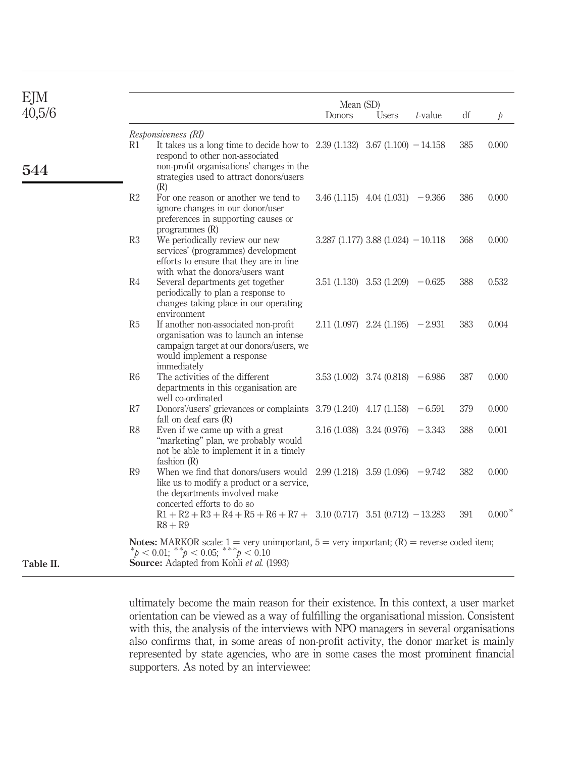| EJM<br>40,5/6 |                                                                                           |                                                                                                                                                                                                         | Mean (SD)<br>Donors                      | Users | t-value  | df  | Þ        |
|---------------|-------------------------------------------------------------------------------------------|---------------------------------------------------------------------------------------------------------------------------------------------------------------------------------------------------------|------------------------------------------|-------|----------|-----|----------|
| 544           | Responsiveness (RI)<br>R1                                                                 | It takes us a long time to decide how to $2.39(1.132)$ $3.67(1.100) - 14.158$<br>respond to other non-associated<br>non-profit organisations' changes in the<br>strategies used to attract donors/users |                                          |       |          | 385 | 0.000    |
|               | (R)<br>R2<br>programmes $(R)$                                                             | For one reason or another we tend to<br>ignore changes in our donor/user<br>preferences in supporting causes or                                                                                         | $3.46(1.115)$ $4.04(1.031)$ $-9.366$     |       |          | 386 | 0.000    |
|               | R3                                                                                        | We periodically review our new<br>services' (programmes) development<br>efforts to ensure that they are in line<br>with what the donors/users want                                                      | $3.287$ (1.177) $3.88$ (1.024) $-10.118$ |       |          | 368 | 0.000    |
|               | R <sub>4</sub><br>environment                                                             | Several departments get together<br>periodically to plan a response to<br>changes taking place in our operating                                                                                         | $3.51(1.130)$ $3.53(1.209)$ $-0.625$     |       |          | 388 | 0.532    |
|               | R5<br>would implement a response<br>immediately                                           | If another non-associated non-profit<br>organisation was to launch an intense<br>campaign target at our donors/users, we                                                                                | $2.11(1.097)$ $2.24(1.195)$ $-2.931$     |       |          | 383 | 0.004    |
|               | R <sub>6</sub><br>The activities of the different<br>well co-ordinated                    | departments in this organisation are                                                                                                                                                                    | $3.53(1.002)$ $3.74(0.818)$ $-6.986$     |       |          | 387 | 0.000    |
|               | R7<br>fall on deaf ears $(R)$                                                             | Donors'/users' grievances or complaints 3.79 (1.240) 4.17 (1.158)                                                                                                                                       |                                          |       | $-6.591$ | 379 | 0.000    |
|               | R <sub>8</sub><br>fashion $(R)$                                                           | Even if we came up with a great<br>"marketing" plan, we probably would<br>not be able to implement it in a timely                                                                                       | $3.16(1.038)$ $3.24(0.976)$              |       | $-3.343$ | 388 | 0.001    |
|               | R <sub>9</sub><br>concerted efforts to do so                                              | When we find that donors/users would<br>like us to modify a product or a service,<br>the departments involved make                                                                                      | $2.99(1.218)$ $3.59(1.096)$ $-9.742$     |       |          | 382 | 0.000    |
|               | $R8 + R9$                                                                                 | $R1 + R2 + R3 + R4 + R5 + R6 + R7 + 3.10 (0.717) 3.51 (0.712) -13.283$                                                                                                                                  |                                          |       |          | 391 | $0.000*$ |
| Table II.     | * $p < 0.01$ ; ** $p < 0.05$ ; *** $p < 0.10$<br>Source: Adapted from Kohli et al. (1993) | <b>Notes:</b> MARKOR scale: $1 = \text{very unimportant}, 5 = \text{very important}; (R) = \text{reverse coded item};$                                                                                  |                                          |       |          |     |          |

ultimately become the main reason for their existence. In this context, a user market orientation can be viewed as a way of fulfilling the organisational mission. Consistent with this, the analysis of the interviews with NPO managers in several organisations also confirms that, in some areas of non-profit activity, the donor market is mainly represented by state agencies, who are in some cases the most prominent financial supporters. As noted by an interviewee: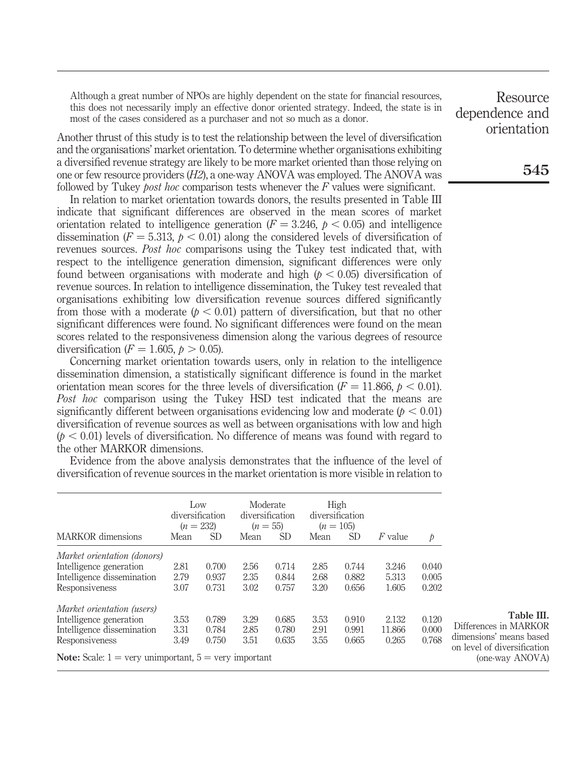Although a great number of NPOs are highly dependent on the state for financial resources, this does not necessarily imply an effective donor oriented strategy. Indeed, the state is in most of the cases considered as a purchaser and not so much as a donor.

Another thrust of this study is to test the relationship between the level of diversification and the organisations' market orientation. To determine whether organisations exhibiting a diversified revenue strategy are likely to be more market oriented than those relying on one or few resource providers (H2), a one-way ANOVA was employed. The ANOVA was followed by Tukey post hoc comparison tests whenever the F values were significant.

In relation to market orientation towards donors, the results presented in Table III indicate that significant differences are observed in the mean scores of market orientation related to intelligence generation ( $F = 3.246$ ,  $p < 0.05$ ) and intelligence dissemination ( $F = 5.313$ ,  $p < 0.01$ ) along the considered levels of diversification of revenues sources. Post hoc comparisons using the Tukey test indicated that, with respect to the intelligence generation dimension, significant differences were only found between organisations with moderate and high ( $p < 0.05$ ) diversification of revenue sources. In relation to intelligence dissemination, the Tukey test revealed that organisations exhibiting low diversification revenue sources differed significantly from those with a moderate  $(p < 0.01)$  pattern of diversification, but that no other significant differences were found. No significant differences were found on the mean scores related to the responsiveness dimension along the various degrees of resource diversification ( $F = 1.605$ ,  $p > 0.05$ ).

Concerning market orientation towards users, only in relation to the intelligence dissemination dimension, a statistically significant difference is found in the market orientation mean scores for the three levels of diversification ( $F = 11.866$ ,  $p < 0.01$ ). Post hoc comparison using the Tukey HSD test indicated that the means are significantly different between organisations evidencing low and moderate ( $p < 0.01$ ) diversification of revenue sources as well as between organisations with low and high  $(p < 0.01)$  levels of diversification. No difference of means was found with regard to the other MARKOR dimensions.

Evidence from the above analysis demonstrates that the influence of the level of diversification of revenue sources in the market orientation is more visible in relation to

|                                                                              | Low<br>diversification<br>$(n = 232)$ |           | Moderate<br>diversification<br>$(n=55)$ |       | High<br>diversification<br>$(n = 105)$ |       |           |       |             |
|------------------------------------------------------------------------------|---------------------------------------|-----------|-----------------------------------------|-------|----------------------------------------|-------|-----------|-------|-------------|
| <b>MARKOR</b> dimensions                                                     | Mean                                  | <b>SD</b> | Mean                                    | SD    | Mean                                   | SD.   | $F$ value | Þ     |             |
| Market orientation (donors)                                                  |                                       |           |                                         |       |                                        |       |           |       |             |
| Intelligence generation                                                      | 2.81                                  | 0.700     | 2.56                                    | 0.714 | 2.85                                   | 0.744 | 3.246     | 0.040 |             |
| Intelligence dissemination                                                   | 2.79                                  | 0.937     | 2.35                                    | 0.844 | 2.68                                   | 0.882 | 5.313     | 0.005 |             |
| Responsiveness                                                               | 3.07                                  | 0.731     | 3.02                                    | 0.757 | 3.20                                   | 0.656 | 1.605     | 0.202 |             |
| Market orientation (users)                                                   |                                       |           |                                         |       |                                        |       |           |       |             |
| Intelligence generation                                                      | 3.53                                  | 0.789     | 3.29                                    | 0.685 | 3.53                                   | 0.910 | 2.132     | 0.120 |             |
| Intelligence dissemination                                                   | 3.31                                  | 0.784     | 2.85                                    | 0.780 | 2.91                                   | 0.991 | 11.866    | 0.000 | Dif         |
| Responsiveness                                                               | 3.49                                  | 0.750     | 3.51                                    | 0.635 | 3.55                                   | 0.665 | 0.265     | 0.768 | dim<br>on 1 |
| <b>Note:</b> Scale: $1 = \text{very unimportant}, 5 = \text{very important}$ |                                       |           |                                         |       |                                        |       |           |       |             |

Resource dependence and orientation

Table III.

ferences in MARKOR ensions' means based level of diversification (one-way ANOVA)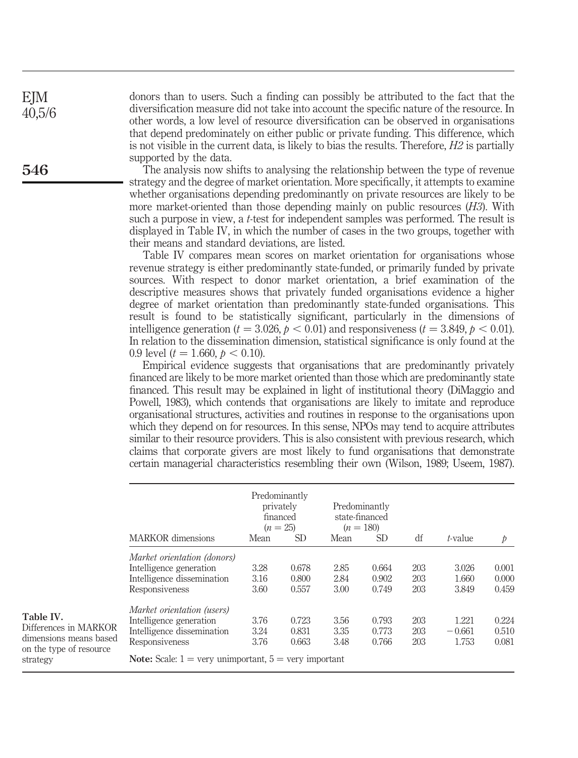donors than to users. Such a finding can possibly be attributed to the fact that the diversification measure did not take into account the specific nature of the resource. In other words, a low level of resource diversification can be observed in organisations that depend predominately on either public or private funding. This difference, which is not visible in the current data, is likely to bias the results. Therefore, H2 is partially supported by the data.

The analysis now shifts to analysing the relationship between the type of revenue strategy and the degree of market orientation. More specifically, it attempts to examine whether organisations depending predominantly on private resources are likely to be more market-oriented than those depending mainly on public resources (*H3*). With such a purpose in view, a t-test for independent samples was performed. The result is displayed in Table IV, in which the number of cases in the two groups, together with their means and standard deviations, are listed.

Table IV compares mean scores on market orientation for organisations whose revenue strategy is either predominantly state-funded, or primarily funded by private sources. With respect to donor market orientation, a brief examination of the descriptive measures shows that privately funded organisations evidence a higher degree of market orientation than predominantly state-funded organisations. This result is found to be statistically significant, particularly in the dimensions of intelligence generation ( $t = 3.026$ ,  $p < 0.01$ ) and responsiveness ( $t = 3.849$ ,  $p < 0.01$ ). In relation to the dissemination dimension, statistical significance is only found at the 0.9 level  $(t = 1.660, p < 0.10)$ .

Empirical evidence suggests that organisations that are predominantly privately financed are likely to be more market oriented than those which are predominantly state financed. This result may be explained in light of institutional theory (DiMaggio and Powell, 1983), which contends that organisations are likely to imitate and reproduce organisational structures, activities and routines in response to the organisations upon which they depend on for resources. In this sense, NPOs may tend to acquire attributes similar to their resource providers. This is also consistent with previous research, which claims that corporate givers are most likely to fund organisations that demonstrate certain managerial characteristics resembling their own (Wilson, 1989; Useem, 1987).

|                                                                                                     | <b>MARKOR</b> dimensions                                                                                                                                                              | Mean                 | Predominantly<br>privately<br>financed<br>$(n = 25)$<br>SD | Predominantly<br>state-financed<br>$(n = 180)$<br>Mean | SD.                     | df                | t-value                    | Þ                       |
|-----------------------------------------------------------------------------------------------------|---------------------------------------------------------------------------------------------------------------------------------------------------------------------------------------|----------------------|------------------------------------------------------------|--------------------------------------------------------|-------------------------|-------------------|----------------------------|-------------------------|
|                                                                                                     | Market orientation (donors)<br>Intelligence generation<br>Intelligence dissemination<br>Responsiveness                                                                                | 3.28<br>3.16<br>3.60 | 0.678<br>0.800<br>0.557                                    | 2.85<br>2.84<br>3.00                                   | 0.664<br>0.902<br>0.749 | 203<br>203<br>203 | 3.026<br>1.660<br>3.849    | 0.001<br>0.000<br>0.459 |
| Table IV.<br>Differences in MARKOR<br>dimensions means based<br>on the type of resource<br>strategy | Market orientation (users)<br>Intelligence generation<br>Intelligence dissemination<br>Responsiveness<br><b>Note:</b> Scale: $1 = \text{very unimportant}, 5 = \text{very important}$ | 3.76<br>3.24<br>3.76 | 0.723<br>0.831<br>0.663                                    | 3.56<br>3.35<br>3.48                                   | 0.793<br>0.773<br>0.766 | 203<br>203<br>203 | 1.221<br>$-0.661$<br>1.753 | 0.224<br>0.510<br>0.081 |

546

EJM 40,5/6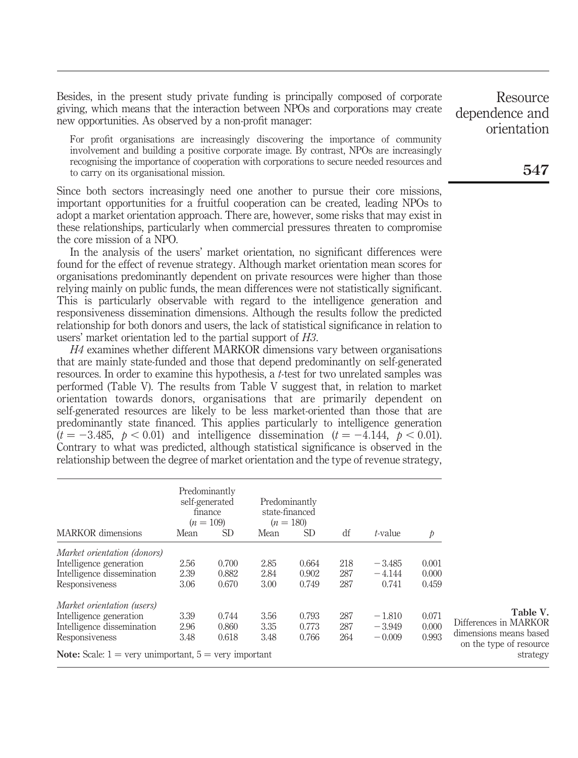Besides, in the present study private funding is principally composed of corporate giving, which means that the interaction between NPOs and corporations may create new opportunities. As observed by a non-profit manager:

For profit organisations are increasingly discovering the importance of community involvement and building a positive corporate image. By contrast, NPOs are increasingly recognising the importance of cooperation with corporations to secure needed resources and to carry on its organisational mission.

Since both sectors increasingly need one another to pursue their core missions, important opportunities for a fruitful cooperation can be created, leading NPOs to adopt a market orientation approach. There are, however, some risks that may exist in these relationships, particularly when commercial pressures threaten to compromise the core mission of a NPO.

In the analysis of the users' market orientation, no significant differences were found for the effect of revenue strategy. Although market orientation mean scores for organisations predominantly dependent on private resources were higher than those relying mainly on public funds, the mean differences were not statistically significant. This is particularly observable with regard to the intelligence generation and responsiveness dissemination dimensions. Although the results follow the predicted relationship for both donors and users, the lack of statistical significance in relation to users' market orientation led to the partial support of H3.

H4 examines whether different MARKOR dimensions vary between organisations that are mainly state-funded and those that depend predominantly on self-generated resources. In order to examine this hypothesis, a t-test for two unrelated samples was performed (Table V). The results from Table V suggest that, in relation to market orientation towards donors, organisations that are primarily dependent on self-generated resources are likely to be less market-oriented than those that are predominantly state financed. This applies particularly to intelligence generation  $(t = -3.485, \, p < 0.01)$  and intelligence dissemination  $(t = -4.144, \, p < 0.01)$ . Contrary to what was predicted, although statistical significance is observed in the relationship between the degree of market orientation and the type of revenue strategy,

| <b>MARKOR</b> dimensions                                                                                                                                                              | Mean                 | Predominantly<br>self-generated<br>finance<br>$(n = 109)$<br>SD. | Mean                 | Predominantly<br>state-financed<br>$(n = 180)$<br>SD <sub>1</sub> | df                | t-value                          | $\dot{p}$               |                                                                                                    |
|---------------------------------------------------------------------------------------------------------------------------------------------------------------------------------------|----------------------|------------------------------------------------------------------|----------------------|-------------------------------------------------------------------|-------------------|----------------------------------|-------------------------|----------------------------------------------------------------------------------------------------|
| Market orientation (donors)<br>Intelligence generation<br>Intelligence dissemination<br>Responsiveness                                                                                | 2.56<br>2.39<br>3.06 | 0.700<br>0.882<br>0.670                                          | 2.85<br>2.84<br>3.00 | 0.664<br>0.902<br>0.749                                           | 218<br>287<br>287 | $-3.485$<br>$-4.144$<br>0.741    | 0.001<br>0.000<br>0.459 |                                                                                                    |
| Market orientation (users)<br>Intelligence generation<br>Intelligence dissemination<br>Responsiveness<br><b>Note:</b> Scale: $1 = \text{very unimportant}, 5 = \text{very important}$ | 3.39<br>2.96<br>3.48 | 0.744<br>0.860<br>0.618                                          | 3.56<br>3.35<br>3.48 | 0.793<br>0.773<br>0.766                                           | 287<br>287<br>264 | $-1.810$<br>$-3.949$<br>$-0.009$ | 0.071<br>0.000<br>0.993 | Table V.<br>Differences in MARKOR<br>dimensions means based<br>on the type of resource<br>strategy |

Resource dependence and orientation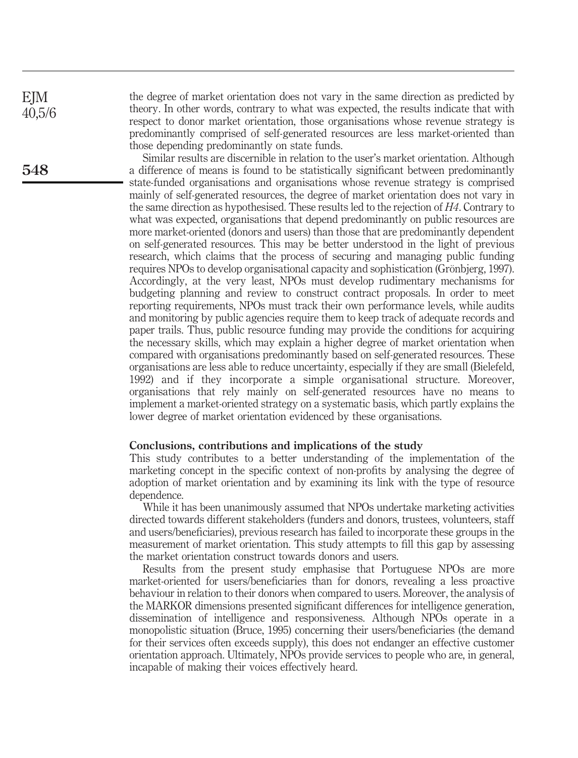the degree of market orientation does not vary in the same direction as predicted by theory. In other words, contrary to what was expected, the results indicate that with respect to donor market orientation, those organisations whose revenue strategy is predominantly comprised of self-generated resources are less market-oriented than those depending predominantly on state funds.

Similar results are discernible in relation to the user's market orientation. Although a difference of means is found to be statistically significant between predominantly state-funded organisations and organisations whose revenue strategy is comprised mainly of self-generated resources, the degree of market orientation does not vary in the same direction as hypothesised. These results led to the rejection of H4. Contrary to what was expected, organisations that depend predominantly on public resources are more market-oriented (donors and users) than those that are predominantly dependent on self-generated resources. This may be better understood in the light of previous research, which claims that the process of securing and managing public funding requires NPOs to develop organisational capacity and sophistication (Grönbjerg, 1997). Accordingly, at the very least, NPOs must develop rudimentary mechanisms for budgeting planning and review to construct contract proposals. In order to meet reporting requirements, NPOs must track their own performance levels, while audits and monitoring by public agencies require them to keep track of adequate records and paper trails. Thus, public resource funding may provide the conditions for acquiring the necessary skills, which may explain a higher degree of market orientation when compared with organisations predominantly based on self-generated resources. These organisations are less able to reduce uncertainty, especially if they are small (Bielefeld, 1992) and if they incorporate a simple organisational structure. Moreover, organisations that rely mainly on self-generated resources have no means to implement a market-oriented strategy on a systematic basis, which partly explains the lower degree of market orientation evidenced by these organisations.

#### Conclusions, contributions and implications of the study

This study contributes to a better understanding of the implementation of the marketing concept in the specific context of non-profits by analysing the degree of adoption of market orientation and by examining its link with the type of resource dependence.

While it has been unanimously assumed that NPOs undertake marketing activities directed towards different stakeholders (funders and donors, trustees, volunteers, staff and users/beneficiaries), previous research has failed to incorporate these groups in the measurement of market orientation. This study attempts to fill this gap by assessing the market orientation construct towards donors and users.

Results from the present study emphasise that Portuguese NPOs are more market-oriented for users/beneficiaries than for donors, revealing a less proactive behaviour in relation to their donors when compared to users. Moreover, the analysis of the MARKOR dimensions presented significant differences for intelligence generation, dissemination of intelligence and responsiveness. Although NPOs operate in a monopolistic situation (Bruce, 1995) concerning their users/beneficiaries (the demand for their services often exceeds supply), this does not endanger an effective customer orientation approach. Ultimately, NPOs provide services to people who are, in general, incapable of making their voices effectively heard.

548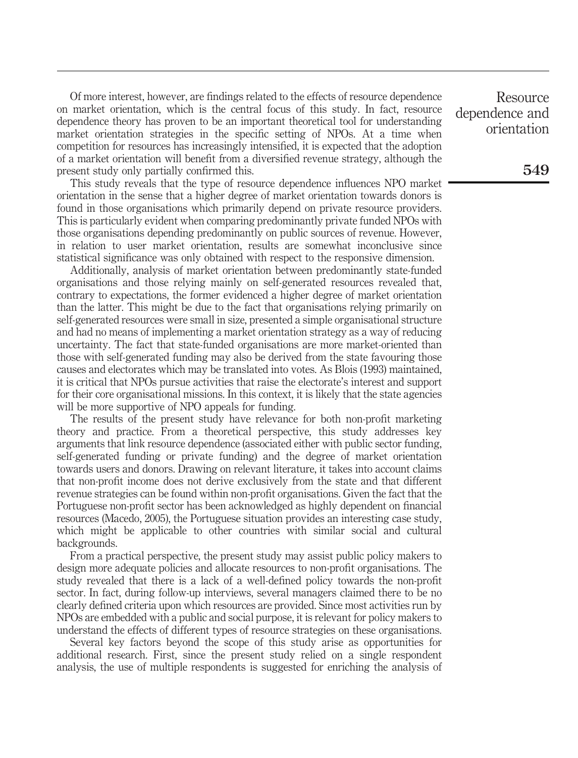Of more interest, however, are findings related to the effects of resource dependence on market orientation, which is the central focus of this study. In fact, resource dependence theory has proven to be an important theoretical tool for understanding market orientation strategies in the specific setting of NPOs. At a time when competition for resources has increasingly intensified, it is expected that the adoption of a market orientation will benefit from a diversified revenue strategy, although the present study only partially confirmed this.

This study reveals that the type of resource dependence influences NPO market orientation in the sense that a higher degree of market orientation towards donors is found in those organisations which primarily depend on private resource providers. This is particularly evident when comparing predominantly private funded NPOs with those organisations depending predominantly on public sources of revenue. However, in relation to user market orientation, results are somewhat inconclusive since statistical significance was only obtained with respect to the responsive dimension.

Additionally, analysis of market orientation between predominantly state-funded organisations and those relying mainly on self-generated resources revealed that, contrary to expectations, the former evidenced a higher degree of market orientation than the latter. This might be due to the fact that organisations relying primarily on self-generated resources were small in size, presented a simple organisational structure and had no means of implementing a market orientation strategy as a way of reducing uncertainty. The fact that state-funded organisations are more market-oriented than those with self-generated funding may also be derived from the state favouring those causes and electorates which may be translated into votes. As Blois (1993) maintained, it is critical that NPOs pursue activities that raise the electorate's interest and support for their core organisational missions. In this context, it is likely that the state agencies will be more supportive of NPO appeals for funding.

The results of the present study have relevance for both non-profit marketing theory and practice. From a theoretical perspective, this study addresses key arguments that link resource dependence (associated either with public sector funding, self-generated funding or private funding) and the degree of market orientation towards users and donors. Drawing on relevant literature, it takes into account claims that non-profit income does not derive exclusively from the state and that different revenue strategies can be found within non-profit organisations. Given the fact that the Portuguese non-profit sector has been acknowledged as highly dependent on financial resources (Macedo, 2005), the Portuguese situation provides an interesting case study, which might be applicable to other countries with similar social and cultural backgrounds.

From a practical perspective, the present study may assist public policy makers to design more adequate policies and allocate resources to non-profit organisations. The study revealed that there is a lack of a well-defined policy towards the non-profit sector. In fact, during follow-up interviews, several managers claimed there to be no clearly defined criteria upon which resources are provided. Since most activities run by NPOs are embedded with a public and social purpose, it is relevant for policy makers to understand the effects of different types of resource strategies on these organisations.

Several key factors beyond the scope of this study arise as opportunities for additional research. First, since the present study relied on a single respondent analysis, the use of multiple respondents is suggested for enriching the analysis of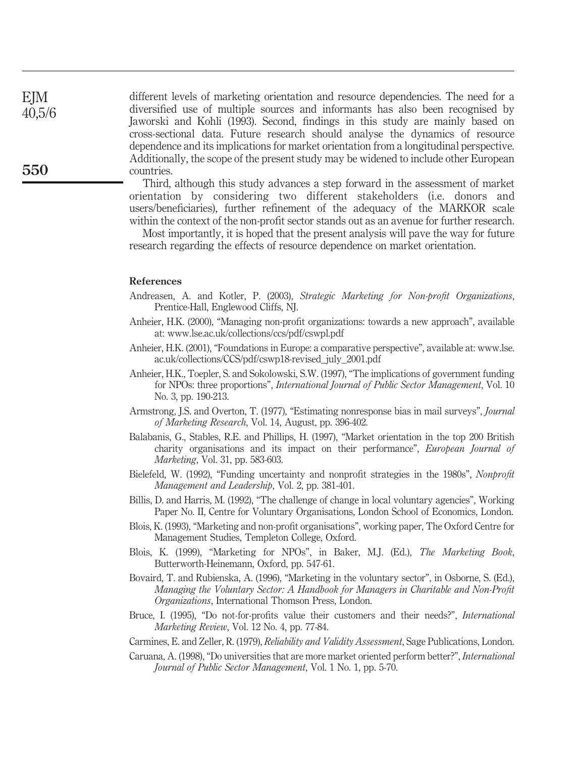different levels of marketing orientation and resource dependencies. The need for a diversified use of multiple sources and informants has also been recognised by Jaworski and Kohli (1993). Second, findings in this study are mainly based on cross-sectional data. Future research should analyse the dynamics of resource dependence and its implications for market orientation from a longitudinal perspective. Additionally, the scope of the present study may be widened to include other European countries.

Third, although this study advances a step forward in the assessment of market orientation by considering two different stakeholders (i.e. donors and users/beneficiaries), further refinement of the adequacy of the MARKOR scale within the context of the non-profit sector stands out as an avenue for further research.

Most importantly, it is hoped that the present analysis will pave the way for future research regarding the effects of resource dependence on market orientation.

#### References

- Andreasen, A. and Kotler, P. (2003), Strategic Marketing for Non-profit Organizations, Prentice-Hall, Englewood Cliffs, NJ.
- Anheier, H.K. (2000), "Managing non-profit organizations: towards a new approach", available at: www.lse.ac.uk/collections/ccs/pdf/cswpl.pdf
- Anheier, H.K. (2001), "Foundations in Europe: a comparative perspective", available at: www.lse. ac.uk/collections/CCS/pdf/cswp18-revised\_july\_2001.pdf
- Anheier, H.K., Toepler, S. and Sokolowski, S.W. (1997), "The implications of government funding for NPOs: three proportions", International Journal of Public Sector Management, Vol. 10 No. 3, pp. 190-213.
- Armstrong, J.S. and Overton, T. (1977), "Estimating nonresponse bias in mail surveys", Journal of Marketing Research, Vol. 14, August, pp. 396-402.
- Balabanis, G., Stables, R.E. and Phillips, H. (1997), "Market orientation in the top 200 British charity organisations and its impact on their performance", European Journal of Marketing, Vol. 31, pp. 583-603.
- Bielefeld, W. (1992), "Funding uncertainty and nonprofit strategies in the 1980s", Nonprofit Management and Leadership, Vol. 2, pp. 381-401.
- Billis, D. and Harris, M. (1992), "The challenge of change in local voluntary agencies", Working Paper No. II, Centre for Voluntary Organisations, London School of Economics, London.
- Blois, K. (1993), "Marketing and non-profit organisations", working paper, The Oxford Centre for Management Studies, Templeton College, Oxford.
- Blois, K. (1999), "Marketing for NPOs", in Baker, M.J. (Ed.), The Marketing Book, Butterworth-Heinemann, Oxford, pp. 547-61.
- Bovaird, T. and Rubienska, A. (1996), "Marketing in the voluntary sector", in Osborne, S. (Ed.), Managing the Voluntary Sector: A Handbook for Managers in Charitable and Non-Profit Organizations, International Thomson Press, London.
- Bruce, I. (1995), "Do not-for-profits value their customers and their needs?", International Marketing Review, Vol. 12 No. 4, pp. 77-84.
- Carmines, E. and Zeller, R. (1979), Reliability and Validity Assessment, Sage Publications, London.
- Caruana, A. (1998), "Do universities that are more market oriented perform better?", International Journal of Public Sector Management, Vol. 1 No. 1, pp. 5-70.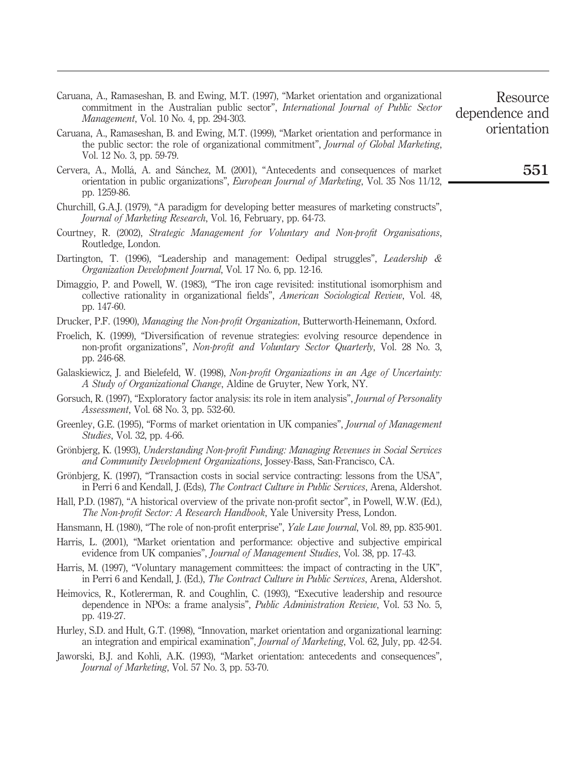- Caruana, A., Ramaseshan, B. and Ewing, M.T. (1997), "Market orientation and organizational commitment in the Australian public sector", International Journal of Public Sector Management, Vol. 10 No. 4, pp. 294-303.
- Caruana, A., Ramaseshan, B. and Ewing, M.T. (1999), "Market orientation and performance in the public sector: the role of organizational commitment", Journal of Global Marketing, Vol. 12 No. 3, pp. 59-79.
- Cervera, A., Mollá, A. and Sánchez, M. (2001), "Antecedents and consequences of market orientation in public organizations", European Journal of Marketing, Vol. 35 Nos 11/12, pp. 1259-86.
- Churchill, G.A.J. (1979), "A paradigm for developing better measures of marketing constructs", Journal of Marketing Research, Vol. 16, February, pp. 64-73.
- Courtney, R. (2002), Strategic Management for Voluntary and Non-profit Organisations, Routledge, London.
- Dartington, T. (1996), "Leadership and management: Oedipal struggles", Leadership & Organization Development Journal, Vol. 17 No. 6, pp. 12-16.
- Dimaggio, P. and Powell, W. (1983), "The iron cage revisited: institutional isomorphism and collective rationality in organizational fields", American Sociological Review, Vol. 48, pp. 147-60.
- Drucker, P.F. (1990), *Managing the Non-profit Organization*, Butterworth-Heinemann, Oxford.
- Froelich, K. (1999), "Diversification of revenue strategies: evolving resource dependence in non-profit organizations", Non-profit and Voluntary Sector Quarterly, Vol. 28 No. 3, pp. 246-68.
- Galaskiewicz, J. and Bielefeld, W. (1998), Non-profit Organizations in an Age of Uncertainty: A Study of Organizational Change, Aldine de Gruyter, New York, NY.
- Gorsuch, R. (1997), "Exploratory factor analysis: its role in item analysis", Journal of Personality Assessment, Vol. 68 No. 3, pp. 532-60.
- Greenley, G.E. (1995), "Forms of market orientation in UK companies", Journal of Management Studies, Vol. 32, pp. 4-66.
- Grönbjerg, K. (1993), Understanding Non-profit Funding: Managing Revenues in Social Services and Community Development Organizations, Jossey-Bass, San-Francisco, CA.
- Grönbjerg, K. (1997), "Transaction costs in social service contracting: lessons from the USA", in Perri 6 and Kendall, J. (Eds), The Contract Culture in Public Services, Arena, Aldershot.
- Hall, P.D. (1987), "A historical overview of the private non-profit sector", in Powell, W.W. (Ed.), The Non-profit Sector: A Research Handbook, Yale University Press, London.
- Hansmann, H. (1980), "The role of non-profit enterprise", Yale Law Journal, Vol. 89, pp. 835-901.
- Harris, L. (2001), "Market orientation and performance: objective and subjective empirical evidence from UK companies", Journal of Management Studies, Vol. 38, pp. 17-43.
- Harris, M. (1997), "Voluntary management committees: the impact of contracting in the UK", in Perri 6 and Kendall, J. (Ed.), The Contract Culture in Public Services, Arena, Aldershot.
- Heimovics, R., Kotlererman, R. and Coughlin, C. (1993), "Executive leadership and resource dependence in NPOs: a frame analysis", Public Administration Review, Vol. 53 No. 5, pp. 419-27.
- Hurley, S.D. and Hult, G.T. (1998), "Innovation, market orientation and organizational learning: an integration and empirical examination", Journal of Marketing, Vol. 62, July, pp. 42-54.
- Jaworski, B.J. and Kohli, A.K. (1993), "Market orientation: antecedents and consequences", Journal of Marketing, Vol. 57 No. 3, pp. 53-70.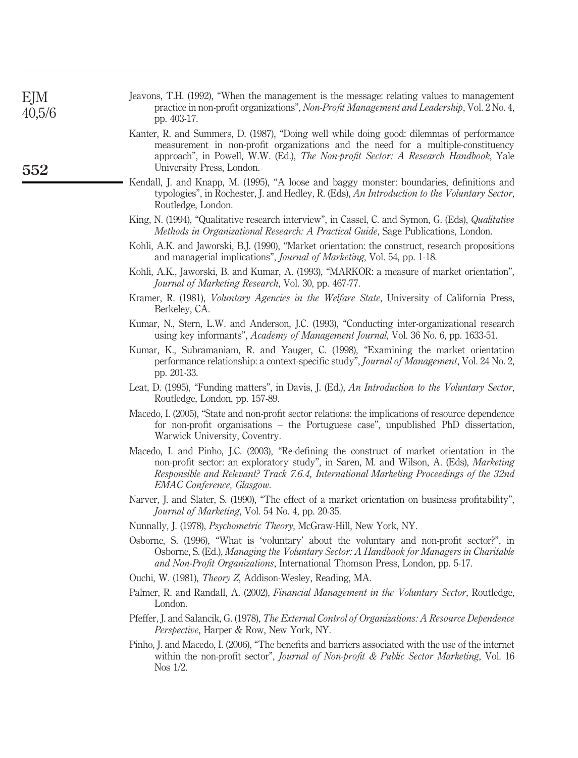| Jeavons, T.H. (1992), "When the management is the message: relating values to management   |
|--------------------------------------------------------------------------------------------|
| practice in non-profit organizations", Non-Profit Management and Leadership, Vol. 2 No. 4, |
| pp. 403-17.                                                                                |
| Kapter D and Summers D (1097) "Doing well while doing good; dilemmas of performance        |

- Kanter, R. and Summers, D. (1987), "Doing well while doing good: dilemmas of performance measurement in non-profit organizations and the need for a multiple-constituency approach", in Powell, W.W. (Ed.), The Non-profit Sector: A Research Handbook, Yale University Press, London.
- Kendall, J. and Knapp, M. (1995), "A loose and baggy monster: boundaries, definitions and typologies", in Rochester, J. and Hedley, R. (Eds), An Introduction to the Voluntary Sector, Routledge, London.
- King, N. (1994), "Qualitative research interview", in Cassel, C. and Symon, G. (Eds), Qualitative Methods in Organizational Research: A Practical Guide, Sage Publications, London.
- Kohli, A.K. and Jaworski, B.J. (1990), "Market orientation: the construct, research propositions and managerial implications", Journal of Marketing, Vol. 54, pp. 1-18.
- Kohli, A.K., Jaworski, B. and Kumar, A. (1993), "MARKOR: a measure of market orientation", Journal of Marketing Research, Vol. 30, pp. 467-77.
- Kramer, R. (1981), *Voluntary Agencies in the Welfare State*, University of California Press, Berkeley, CA.
- Kumar, N., Stern, L.W. and Anderson, J.C. (1993), "Conducting inter-organizational research using key informants", Academy of Management Journal, Vol. 36 No. 6, pp. 1633-51.
- Kumar, K., Subramaniam, R. and Yauger, C. (1998), "Examining the market orientation performance relationship: a context-specific study", Journal of Management, Vol. 24 No. 2, pp. 201-33.
- Leat, D. (1995), "Funding matters", in Davis, J. (Ed.), An Introduction to the Voluntary Sector, Routledge, London, pp. 157-89.
- Macedo, I. (2005), "State and non-profit sector relations: the implications of resource dependence for non-profit organisations – the Portuguese case", unpublished PhD dissertation, Warwick University, Coventry.
- Macedo, I. and Pinho, J.C. (2003), "Re-defining the construct of market orientation in the non-profit sector: an exploratory study", in Saren, M. and Wilson, A. (Eds), Marketing Responsible and Relevant? Track 7.6.4, International Marketing Proceedings of the 32nd EMAC Conference, Glasgow.
- Narver, J. and Slater, S. (1990), "The effect of a market orientation on business profitability", Journal of Marketing, Vol. 54 No. 4, pp. 20-35.
- Nunnally, J. (1978), Psychometric Theory, McGraw-Hill, New York, NY.
- Osborne, S. (1996), "What is 'voluntary' about the voluntary and non-profit sector?", in Osborne, S. (Ed.), Managing the Voluntary Sector: A Handbook for Managers in Charitable and Non-Profit Organizations, International Thomson Press, London, pp. 5-17.
- Ouchi, W. (1981), Theory Z, Addison-Wesley, Reading, MA.
- Palmer, R. and Randall, A. (2002), Financial Management in the Voluntary Sector, Routledge, London.
- Pfeffer, J. and Salancik, G. (1978), The External Control of Organizations: A Resource Dependence Perspective, Harper & Row, New York, NY.
- Pinho, J. and Macedo, I. (2006), "The benefits and barriers associated with the use of the internet within the non-profit sector", *Journal of Non-profit & Public Sector Marketing*, Vol. 16 Nos 1/2.